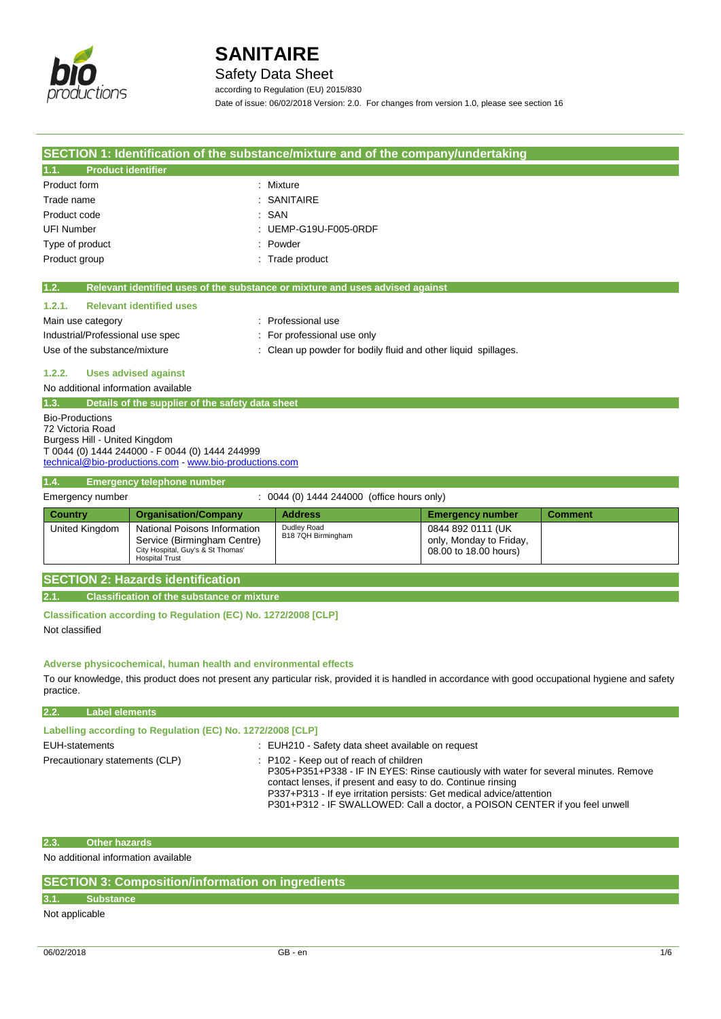

Safety Data Sheet

according to Regulation (EU) 2015/830

Date of issue: 06/02/2018 Version: 2.0. For changes from version 1.0, please see section 16

| SECTION 1: Identification of the substance/mixture and of the company/undertaking |                                                                               |                                                  |                |
|-----------------------------------------------------------------------------------|-------------------------------------------------------------------------------|--------------------------------------------------|----------------|
| <b>Product identifier</b><br>1.1.                                                 |                                                                               |                                                  |                |
| Product form                                                                      | : Mixture                                                                     |                                                  |                |
| Trade name                                                                        | <b>SANITAIRE</b>                                                              |                                                  |                |
| Product code                                                                      | : SAN                                                                         |                                                  |                |
| <b>UFI Number</b>                                                                 | UEMP-G19U-F005-0RDF                                                           |                                                  |                |
| Type of product                                                                   | Powder                                                                        |                                                  |                |
| Product group                                                                     | Trade product                                                                 |                                                  |                |
| 1.2.                                                                              | Relevant identified uses of the substance or mixture and uses advised against |                                                  |                |
| 1.2.1.<br><b>Relevant identified uses</b>                                         |                                                                               |                                                  |                |
| Main use category                                                                 | : Professional use                                                            |                                                  |                |
| Industrial/Professional use spec                                                  | For professional use only                                                     |                                                  |                |
| Use of the substance/mixture                                                      | : Clean up powder for bodily fluid and other liquid spillages.                |                                                  |                |
| 1.2.2.<br><b>Uses advised against</b>                                             |                                                                               |                                                  |                |
| No additional information available                                               |                                                                               |                                                  |                |
| Details of the supplier of the safety data sheet<br>1.3.                          |                                                                               |                                                  |                |
| <b>Bio-Productions</b>                                                            |                                                                               |                                                  |                |
| 72 Victoria Road<br>Burgess Hill - United Kingdom                                 |                                                                               |                                                  |                |
| T 0044 (0) 1444 244000 - F 0044 (0) 1444 244999                                   |                                                                               |                                                  |                |
| technical@bio-productions.com - www.bio-productions.com                           |                                                                               |                                                  |                |
| 1.4.<br><b>Emergency telephone number</b>                                         |                                                                               |                                                  |                |
| Emergency number                                                                  | : 0044 (0) 1444 244000 (office hours only)                                    |                                                  |                |
| <b>Country</b><br><b>Organisation/Company</b>                                     | <b>Address</b>                                                                | <b>Emergency number</b>                          | <b>Comment</b> |
| National Poisons Information<br>United Kingdom                                    | Dudley Road<br>B18 7QH Birmingham                                             | 0844 892 0111 (UK)                               |                |
| Service (Birmingham Centre)<br>City Hospital, Guy's & St Thomas'                  |                                                                               | only, Monday to Friday,<br>08.00 to 18.00 hours) |                |
| <b>Hospital Trust</b>                                                             |                                                                               |                                                  |                |
| <b>SECTION 2: Hazards identification</b>                                          |                                                                               |                                                  |                |
| 2.1.<br><b>Classification of the substance or mixture</b>                         |                                                                               |                                                  |                |
| Classification according to Regulation (EC) No. 1272/2008 [CLP]                   |                                                                               |                                                  |                |
| Not classified                                                                    |                                                                               |                                                  |                |
|                                                                                   |                                                                               |                                                  |                |

**Adverse physicochemical, human health and environmental effects**

To our knowledge, this product does not present any particular risk, provided it is handled in accordance with good occupational hygiene and safety practice.

### **2.2. Label elements**

| Labelling according to Regulation (EC) No. 1272/2008 [CLP] |                                                                                                                                                                                                                                                                                                                                                      |
|------------------------------------------------------------|------------------------------------------------------------------------------------------------------------------------------------------------------------------------------------------------------------------------------------------------------------------------------------------------------------------------------------------------------|
| EUH-statements                                             | : EUH210 - Safety data sheet available on request                                                                                                                                                                                                                                                                                                    |
| Precautionary statements (CLP)                             | : P102 - Keep out of reach of children<br>P305+P351+P338 - IF IN EYES: Rinse cautiously with water for several minutes. Remove<br>contact lenses, if present and easy to do. Continue rinsing<br>P337+P313 - If eye irritation persists: Get medical advice/attention<br>P301+P312 - IF SWALLOWED: Call a doctor, a POISON CENTER if you feel unwell |

### **2.3. Other hazards**

No additional information available

| <b>SECTION 3: Composition/information on ingredients</b> |  |
|----------------------------------------------------------|--|
|----------------------------------------------------------|--|

### **3.1. Substance**

Not applicable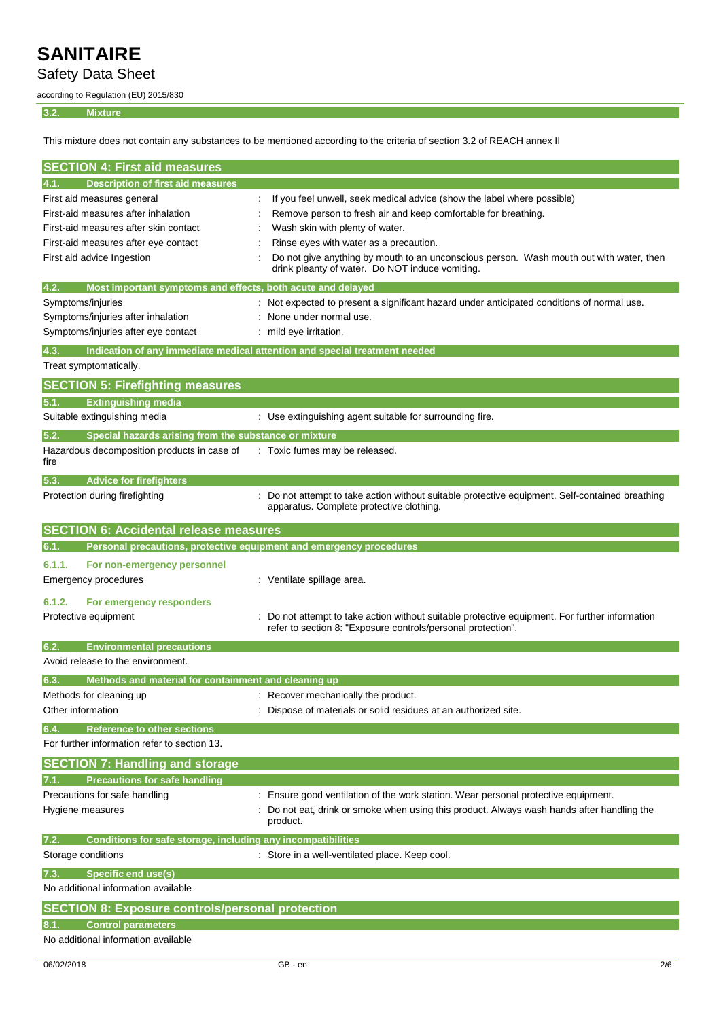Safety Data Sheet

according to Regulation (EU) 2015/830

### **3.2. Mixture**

This mixture does not contain any substances to be mentioned according to the criteria of section 3.2 of REACH annex II

| <b>SECTION 4: First aid measures</b>                                        |                                                                                                                                                              |
|-----------------------------------------------------------------------------|--------------------------------------------------------------------------------------------------------------------------------------------------------------|
| 4.1.<br>Description of first aid measures                                   |                                                                                                                                                              |
| First aid measures general                                                  | If you feel unwell, seek medical advice (show the label where possible)                                                                                      |
| First-aid measures after inhalation                                         | Remove person to fresh air and keep comfortable for breathing.                                                                                               |
| First-aid measures after skin contact                                       | Wash skin with plenty of water.                                                                                                                              |
| First-aid measures after eye contact                                        | Rinse eyes with water as a precaution.                                                                                                                       |
| First aid advice Ingestion                                                  | Do not give anything by mouth to an unconscious person. Wash mouth out with water, then<br>drink pleanty of water. Do NOT induce vomiting.                   |
| 4.2.<br>Most important symptoms and effects, both acute and delayed         |                                                                                                                                                              |
| Symptoms/injuries                                                           | Not expected to present a significant hazard under anticipated conditions of normal use.                                                                     |
| Symptoms/injuries after inhalation                                          | None under normal use.                                                                                                                                       |
| Symptoms/injuries after eye contact                                         | mild eye irritation.                                                                                                                                         |
| 4.3.                                                                        | Indication of any immediate medical attention and special treatment needed                                                                                   |
| Treat symptomatically.                                                      |                                                                                                                                                              |
| <b>SECTION 5: Firefighting measures</b>                                     |                                                                                                                                                              |
| <b>Extinguishing media</b><br>5.1.                                          |                                                                                                                                                              |
| Suitable extinguishing media                                                | : Use extinguishing agent suitable for surrounding fire.                                                                                                     |
| 5.2.<br>Special hazards arising from the substance or mixture               |                                                                                                                                                              |
| Hazardous decomposition products in case of                                 | Toxic fumes may be released.                                                                                                                                 |
| fire                                                                        |                                                                                                                                                              |
| <b>Advice for firefighters</b><br>5.3.                                      |                                                                                                                                                              |
| Protection during firefighting                                              | Do not attempt to take action without suitable protective equipment. Self-contained breathing<br>apparatus. Complete protective clothing.                    |
| <b>SECTION 6: Accidental release measures</b>                               |                                                                                                                                                              |
| Personal precautions, protective equipment and emergency procedures<br>6.1. |                                                                                                                                                              |
| 6.1.1.<br>For non-emergency personnel                                       |                                                                                                                                                              |
| <b>Emergency procedures</b>                                                 | : Ventilate spillage area.                                                                                                                                   |
| 6.1.2.<br>For emergency responders                                          |                                                                                                                                                              |
| Protective equipment                                                        | Do not attempt to take action without suitable protective equipment. For further information<br>refer to section 8: "Exposure controls/personal protection". |
| 6.2.<br><b>Environmental precautions</b>                                    |                                                                                                                                                              |
| Avoid release to the environment.                                           |                                                                                                                                                              |
| Methods and material for containment and cleaning up<br>6.3.                |                                                                                                                                                              |
| Methods for cleaning up                                                     | : Recover mechanically the product.                                                                                                                          |
| Other information                                                           | Dispose of materials or solid residues at an authorized site.                                                                                                |
| 6.4.<br><b>Reference to other sections</b>                                  |                                                                                                                                                              |
| For further information refer to section 13.                                |                                                                                                                                                              |
| <b>SECTION 7: Handling and storage</b>                                      |                                                                                                                                                              |
| <b>Precautions for safe handling</b><br>7.1.                                |                                                                                                                                                              |
| Precautions for safe handling                                               | Ensure good ventilation of the work station. Wear personal protective equipment.                                                                             |
| Hygiene measures                                                            | Do not eat, drink or smoke when using this product. Always wash hands after handling the<br>product.                                                         |
| 7.2.<br>Conditions for safe storage, including any incompatibilities        |                                                                                                                                                              |
| Storage conditions                                                          | Store in a well-ventilated place. Keep cool.                                                                                                                 |
| 7.3.<br><b>Specific end use(s)</b>                                          |                                                                                                                                                              |
| No additional information available                                         |                                                                                                                                                              |
| <b>SECTION 8: Exposure controls/personal protection</b>                     |                                                                                                                                                              |
| <b>Control parameters</b><br>8.1.                                           |                                                                                                                                                              |
| No additional information available                                         |                                                                                                                                                              |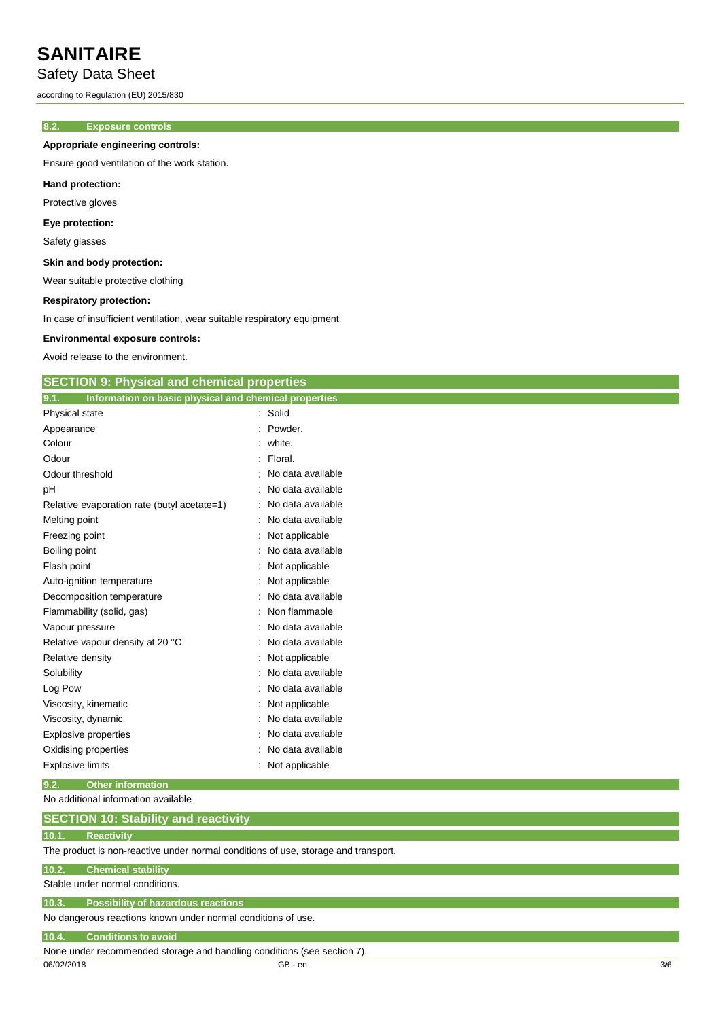### Safety Data Sheet

according to Regulation (EU) 2015/830

### **8.2. Exposure controls**

**Appropriate engineering controls:**

Ensure good ventilation of the work station.

### **Hand protection:**

Protective gloves

### **Eye protection:**

Safety glasses

### **Skin and body protection:**

Wear suitable protective clothing

### **Respiratory protection:**

In case of insufficient ventilation, wear suitable respiratory equipment

**SECTION 9: Physical and chemical properties**

#### **Environmental exposure controls:**

Avoid release to the environment.

| 9.1.<br>Information on basic physical and chemical properties                      |                   |  |
|------------------------------------------------------------------------------------|-------------------|--|
| <b>Physical state</b>                                                              | Solid             |  |
| Appearance                                                                         | Powder.           |  |
| Colour                                                                             | white.            |  |
| Odour                                                                              | Floral.           |  |
| Odour threshold                                                                    | No data available |  |
| рH                                                                                 | No data available |  |
| Relative evaporation rate (butyl acetate=1)                                        | No data available |  |
| Melting point                                                                      | No data available |  |
| Freezing point                                                                     | Not applicable    |  |
| Boiling point                                                                      | No data available |  |
| Flash point                                                                        | Not applicable    |  |
| Auto-ignition temperature                                                          | Not applicable    |  |
| Decomposition temperature                                                          | No data available |  |
| Flammability (solid, gas)                                                          | Non flammable     |  |
| Vapour pressure                                                                    | No data available |  |
| Relative vapour density at 20 °C                                                   | No data available |  |
| Relative density                                                                   | Not applicable    |  |
| Solubility                                                                         | No data available |  |
| Log Pow                                                                            | No data available |  |
| Viscosity, kinematic                                                               | Not applicable    |  |
| Viscosity, dynamic                                                                 | No data available |  |
| <b>Explosive properties</b>                                                        | No data available |  |
| Oxidising properties                                                               | No data available |  |
| <b>Explosive limits</b>                                                            | Not applicable    |  |
| 9.2.<br><b>Other information</b>                                                   |                   |  |
| No additional information available                                                |                   |  |
| <b>SECTION 10: Stability and reactivity</b>                                        |                   |  |
| <b>Reactivity</b><br>10.1.                                                         |                   |  |
| The product is non-reactive under normal conditions of use, storage and transport. |                   |  |
| <b>Chemical stability</b><br>10.2.                                                 |                   |  |
| Stable under normal conditions.                                                    |                   |  |
| <b>Possibility of hazardous reactions</b><br>10.3.                                 |                   |  |
| No dangerous reactions known under normal conditions of use.                       |                   |  |
| <b>Conditions to avoid</b><br>10.4.                                                |                   |  |
| None under recommended storage and handling conditions (see section 7).            |                   |  |

06/02/2018 GB - en 3/6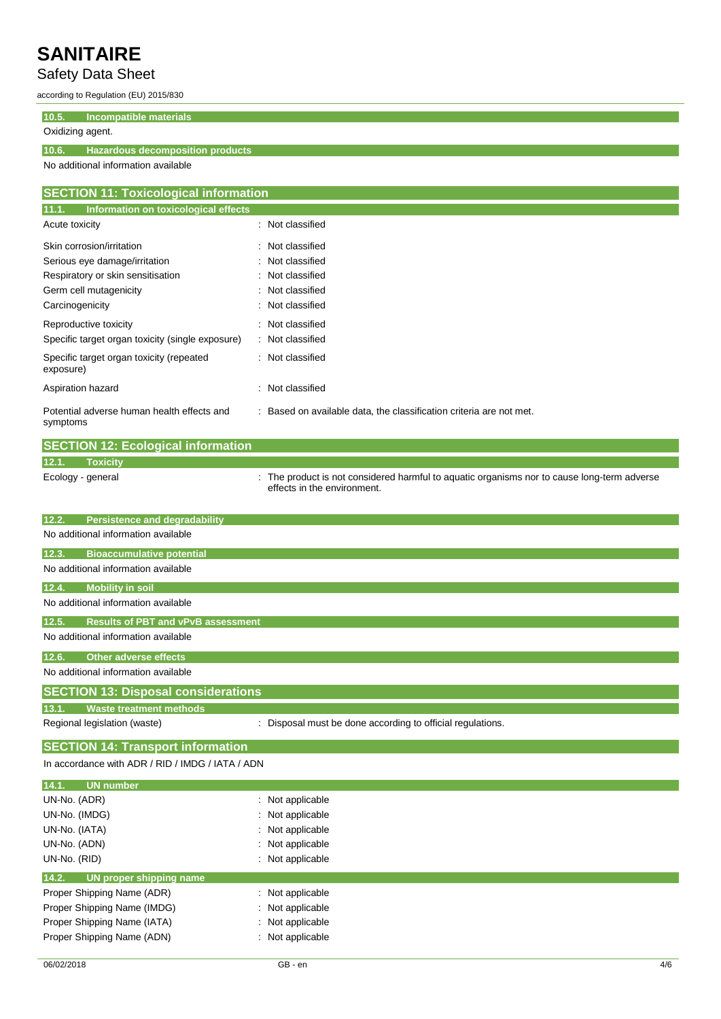Safety Data Sheet

according to Regulation (EU) 2015/830

**10.5. Incompatible materials**

### Oxidizing agent.

**10.6. Hazardous decomposition products**

No additional information available

| <b>SECTION 11: Toxicological information</b>           |                                                                     |  |
|--------------------------------------------------------|---------------------------------------------------------------------|--|
| 11.1.<br>Information on toxicological effects          |                                                                     |  |
| Acute toxicity                                         | Not classified<br>÷                                                 |  |
| Skin corrosion/irritation                              | : Not classified                                                    |  |
| Serious eye damage/irritation                          | : Not classified                                                    |  |
| Respiratory or skin sensitisation                      | : Not classified                                                    |  |
| Germ cell mutagenicity                                 | : Not classified                                                    |  |
| Carcinogenicity                                        | : Not classified                                                    |  |
| Reproductive toxicity                                  | : Not classified                                                    |  |
| Specific target organ toxicity (single exposure)       | : Not classified                                                    |  |
| Specific target organ toxicity (repeated<br>exposure)  | : Not classified                                                    |  |
| Aspiration hazard                                      | Not classified<br>۰                                                 |  |
| Potential adverse human health effects and<br>symptoms | : Based on available data, the classification criteria are not met. |  |

|                   | <b>SECTION 12: Ecological information</b> |                                                                                                                            |
|-------------------|-------------------------------------------|----------------------------------------------------------------------------------------------------------------------------|
| 12.1.             | <b>Toxicity</b>                           |                                                                                                                            |
| Ecology - general |                                           | : The product is not considered harmful to aquatic organisms nor to cause long-term adverse<br>effects in the environment. |

| <b>Persistence and degradability</b><br>12.2.                                              |
|--------------------------------------------------------------------------------------------|
| No additional information available                                                        |
| <b>Bioaccumulative potential</b><br>12.3.                                                  |
| No additional information available                                                        |
| <b>Mobility in soil</b><br>12.4.                                                           |
| No additional information available                                                        |
| <b>Results of PBT and vPvB assessment</b><br>12.5.                                         |
| No additional information available                                                        |
| Other adverse effects<br>12.6.                                                             |
| No additional information available                                                        |
| <b>SECTION 13: Disposal considerations</b>                                                 |
| 13.1.<br><b>Waste treatment methods</b>                                                    |
| : Disposal must be done according to official regulations.<br>Regional legislation (waste) |

### **SECTION 14: Transport information**

In accordance with ADR / RID / IMDG / IATA / ADN

| 14.1.<br><b>UN number</b>        |                             |
|----------------------------------|-----------------------------|
| UN-No. (ADR)                     | $\therefore$ Not applicable |
| UN-No. (IMDG)                    | : Not applicable            |
| UN-No. (IATA)                    | : Not applicable            |
| UN-No. (ADN)                     | : Not applicable            |
| UN-No. (RID)                     | : Not applicable            |
|                                  |                             |
| 14.2.<br>UN proper shipping name |                             |
| Proper Shipping Name (ADR)       | $\therefore$ Not applicable |
| Proper Shipping Name (IMDG)      | Not applicable              |
| Proper Shipping Name (IATA)      | : Not applicable            |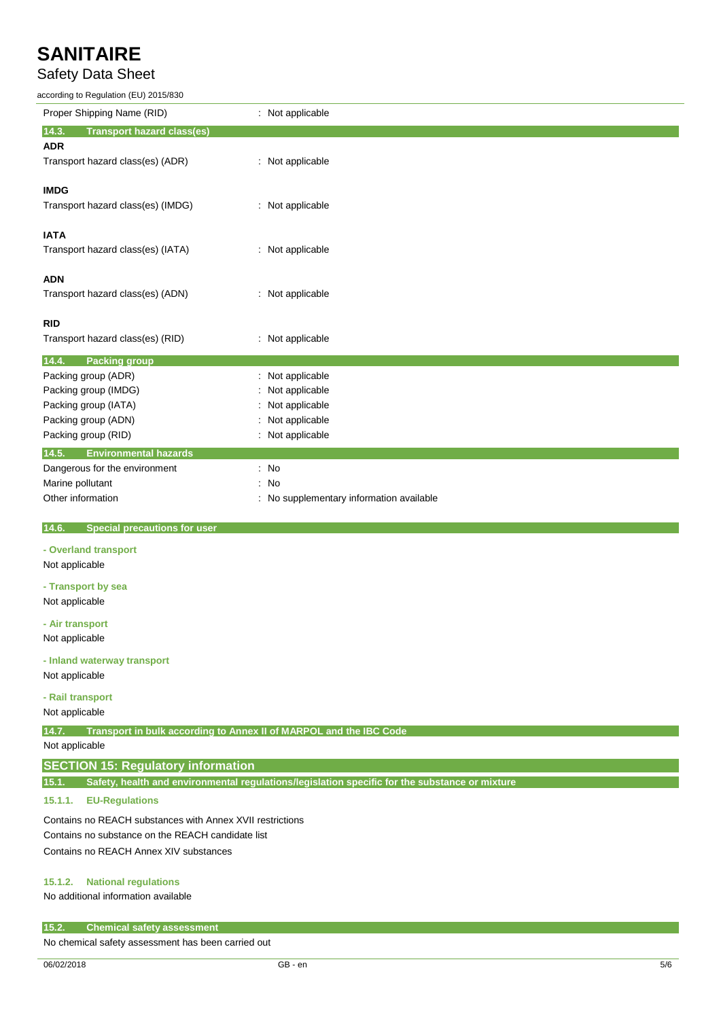## Safety Data Sheet

according to Regulation (EU) 2015/830

| according to Regulation (EU) 2015/830                                       |                                                                                                |
|-----------------------------------------------------------------------------|------------------------------------------------------------------------------------------------|
| Proper Shipping Name (RID)                                                  | : Not applicable                                                                               |
| <b>Transport hazard class(es)</b><br>14.3.                                  |                                                                                                |
| <b>ADR</b>                                                                  |                                                                                                |
| Transport hazard class(es) (ADR)                                            | : Not applicable                                                                               |
|                                                                             |                                                                                                |
| <b>IMDG</b>                                                                 |                                                                                                |
| Transport hazard class(es) (IMDG)                                           | : Not applicable                                                                               |
| <b>IATA</b>                                                                 |                                                                                                |
| Transport hazard class(es) (IATA)                                           | : Not applicable                                                                               |
|                                                                             |                                                                                                |
| <b>ADN</b>                                                                  |                                                                                                |
| Transport hazard class(es) (ADN)                                            | : Not applicable                                                                               |
|                                                                             |                                                                                                |
| RID                                                                         |                                                                                                |
| Transport hazard class(es) (RID)                                            | : Not applicable                                                                               |
| 14.4.<br><b>Packing group</b>                                               |                                                                                                |
| Packing group (ADR)                                                         | : Not applicable                                                                               |
| Packing group (IMDG)                                                        | Not applicable                                                                                 |
| Packing group (IATA)                                                        | Not applicable                                                                                 |
| Packing group (ADN)                                                         | Not applicable                                                                                 |
| Packing group (RID)                                                         | : Not applicable                                                                               |
| 14.5.<br><b>Environmental hazards</b>                                       |                                                                                                |
| Dangerous for the environment                                               | : No                                                                                           |
| Marine pollutant                                                            | No                                                                                             |
| Other information                                                           | No supplementary information available                                                         |
|                                                                             |                                                                                                |
| 14.6.<br><b>Special precautions for user</b>                                |                                                                                                |
| - Overland transport                                                        |                                                                                                |
| Not applicable                                                              |                                                                                                |
| - Transport by sea                                                          |                                                                                                |
| Not applicable                                                              |                                                                                                |
|                                                                             |                                                                                                |
| - Air transport                                                             |                                                                                                |
| Not applicable                                                              |                                                                                                |
| - Inland waterway transport                                                 |                                                                                                |
| Not applicable                                                              |                                                                                                |
| - Rail transport                                                            |                                                                                                |
| Not applicable                                                              |                                                                                                |
| Transport in bulk according to Annex II of MARPOL and the IBC Code<br>14.7. |                                                                                                |
| Not applicable                                                              |                                                                                                |
| <b>SECTION 15: Regulatory information</b>                                   |                                                                                                |
|                                                                             |                                                                                                |
| 15.1.                                                                       | Safety, health and environmental regulations/legislation specific for the substance or mixture |
| 15.1.1.<br><b>EU-Regulations</b>                                            |                                                                                                |

Contains no REACH substances with Annex XVII restrictions Contains no substance on the REACH candidate list

Contains no REACH Annex XIV substances

### **15.1.2. National regulations**

No additional information available

#### **15.2. Chemical safety assessment**

No chemical safety assessment has been carried out